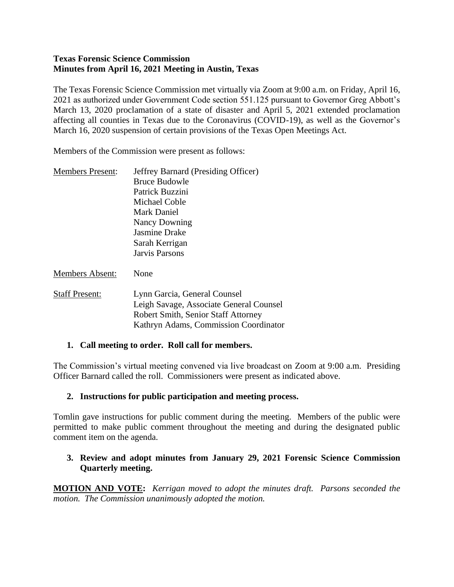#### **Texas Forensic Science Commission Minutes from April 16, 2021 Meeting in Austin, Texas**

The Texas Forensic Science Commission met virtually via Zoom at 9:00 a.m. on Friday, April 16, 2021 as authorized under Government Code section 551.125 pursuant to Governor Greg Abbott's March 13, 2020 proclamation of a state of disaster and April 5, 2021 extended proclamation affecting all counties in Texas due to the Coronavirus (COVID-19), as well as the Governor's March 16, 2020 suspension of certain provisions of the Texas Open Meetings Act.

Members of the Commission were present as follows:

| <b>Members Present:</b> | <b>Jeffrey Barnard (Presiding Officer)</b> |
|-------------------------|--------------------------------------------|
|                         | <b>Bruce Budowle</b>                       |
|                         | Patrick Buzzini                            |
|                         | Michael Coble                              |
|                         | Mark Daniel                                |
|                         | Nancy Downing                              |
|                         | Jasmine Drake                              |
|                         | Sarah Kerrigan                             |
|                         | Jarvis Parsons                             |
| <b>Members Absent:</b>  | None                                       |
| <b>Staff Present:</b>   | Lynn Garcia, General Counsel               |
|                         | Leigh Savage, Associate General Counsel    |
|                         | <b>Robert Smith, Senior Staff Attorney</b> |
|                         | Kathryn Adams, Commission Coordinator      |
|                         |                                            |

#### **1. Call meeting to order. Roll call for members.**

The Commission's virtual meeting convened via live broadcast on Zoom at 9:00 a.m. Presiding Officer Barnard called the roll. Commissioners were present as indicated above.

#### **2. Instructions for public participation and meeting process.**

Tomlin gave instructions for public comment during the meeting. Members of the public were permitted to make public comment throughout the meeting and during the designated public comment item on the agenda.

#### **3. Review and adopt minutes from January 29, 2021 Forensic Science Commission Quarterly meeting.**

**MOTION AND VOTE:** *Kerrigan moved to adopt the minutes draft. Parsons seconded the motion. The Commission unanimously adopted the motion.*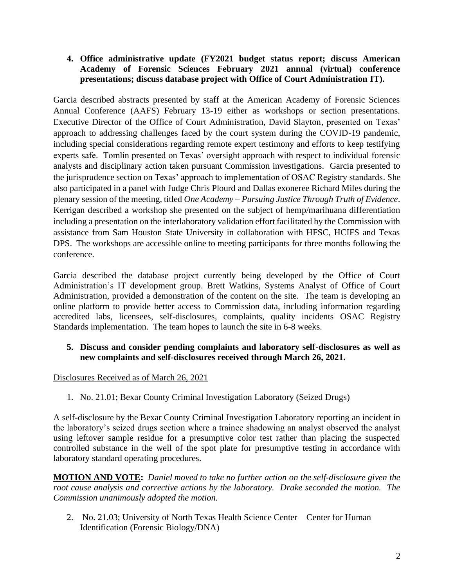### **4. Office administrative update (FY2021 budget status report; discuss American Academy of Forensic Sciences February 2021 annual (virtual) conference presentations; discuss database project with Office of Court Administration IT).**

Garcia described abstracts presented by staff at the American Academy of Forensic Sciences Annual Conference (AAFS) February 13-19 either as workshops or section presentations. Executive Director of the Office of Court Administration, David Slayton, presented on Texas' approach to addressing challenges faced by the court system during the COVID-19 pandemic, including special considerations regarding remote expert testimony and efforts to keep testifying experts safe. Tomlin presented on Texas' oversight approach with respect to individual forensic analysts and disciplinary action taken pursuant Commission investigations. Garcia presented to the jurisprudence section on Texas' approach to implementation of OSAC Registry standards. She also participated in a panel with Judge Chris Plourd and Dallas exoneree Richard Miles during the plenary session of the meeting, titled *One Academy – Pursuing Justice Through Truth of Evidence*. Kerrigan described a workshop she presented on the subject of hemp/marihuana differentiation including a presentation on the interlaboratory validation effort facilitated by the Commission with assistance from Sam Houston State University in collaboration with HFSC, HCIFS and Texas DPS. The workshops are accessible online to meeting participants for three months following the conference.

Garcia described the database project currently being developed by the Office of Court Administration's IT development group. Brett Watkins, Systems Analyst of Office of Court Administration, provided a demonstration of the content on the site. The team is developing an online platform to provide better access to Commission data, including information regarding accredited labs, licensees, self-disclosures, complaints, quality incidents OSAC Registry Standards implementation. The team hopes to launch the site in 6-8 weeks.

## **5. Discuss and consider pending complaints and laboratory self-disclosures as well as new complaints and self-disclosures received through March 26, 2021.**

## Disclosures Received as of March 26, 2021

1. No. 21.01; Bexar County Criminal Investigation Laboratory (Seized Drugs)

A self-disclosure by the Bexar County Criminal Investigation Laboratory reporting an incident in the laboratory's seized drugs section where a trainee shadowing an analyst observed the analyst using leftover sample residue for a presumptive color test rather than placing the suspected controlled substance in the well of the spot plate for presumptive testing in accordance with laboratory standard operating procedures.

**MOTION AND VOTE:** *Daniel moved to take no further action on the self-disclosure given the root cause analysis and corrective actions by the laboratory. Drake seconded the motion. The Commission unanimously adopted the motion.*

2. No. 21.03; University of North Texas Health Science Center – Center for Human Identification (Forensic Biology/DNA)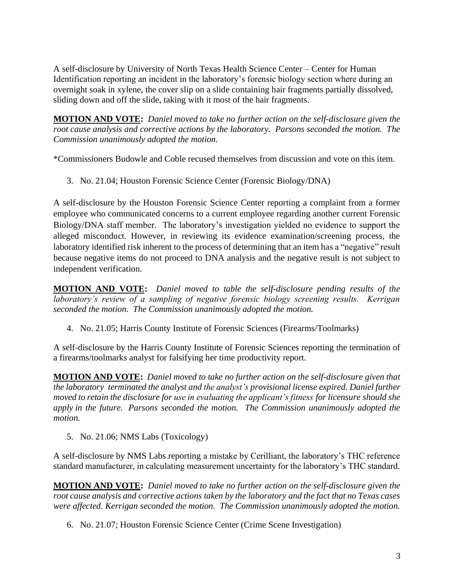A self-disclosure by University of North Texas Health Science Center – Center for Human Identification reporting an incident in the laboratory's forensic biology section where during an overnight soak in xylene, the cover slip on a slide containing hair fragments partially dissolved, sliding down and off the slide, taking with it most of the hair fragments.

**MOTION AND VOTE:** *Daniel moved to take no further action on the self-disclosure given the root cause analysis and corrective actions by the laboratory. Parsons seconded the motion. The Commission unanimously adopted the motion.*

\*Commissioners Budowle and Coble recused themselves from discussion and vote on this item.

3. No. 21.04; Houston Forensic Science Center (Forensic Biology/DNA)

A self-disclosure by the Houston Forensic Science Center reporting a complaint from a former employee who communicated concerns to a current employee regarding another current Forensic Biology/DNA staff member. The laboratory's investigation yielded no evidence to support the alleged misconduct. However, in reviewing its evidence examination/screening process, the laboratory identified risk inherent to the process of determining that an item has a "negative" result because negative items do not proceed to DNA analysis and the negative result is not subject to independent verification.

**MOTION AND VOTE:** *Daniel moved to table the self-disclosure pending results of the laboratory's review of a sampling of negative forensic biology screening results. Kerrigan seconded the motion. The Commission unanimously adopted the motion.*

4. No. 21.05; Harris County Institute of Forensic Sciences (Firearms/Toolmarks)

A self-disclosure by the Harris County Institute of Forensic Sciences reporting the termination of a firearms/toolmarks analyst for falsifying her time productivity report.

**MOTION AND VOTE:** *Daniel moved to take no further action on the self-disclosure given that the laboratory terminated the analyst and the analyst's provisional license expired. Daniel further moved to retain the disclosure for use in evaluating the applicant's fitness for licensure should she apply in the future. Parsons seconded the motion. The Commission unanimously adopted the motion.*

5. No. 21.06; NMS Labs (Toxicology)

A self-disclosure by NMS Labs reporting a mistake by Cerilliant, the laboratory's THC reference standard manufacturer, in calculating measurement uncertainty for the laboratory's THC standard.

**MOTION AND VOTE:** *Daniel moved to take no further action on the self-disclosure given the root cause analysis and corrective actions taken by the laboratory and the fact that no Texas cases were affected. Kerrigan seconded the motion. The Commission unanimously adopted the motion.*

6. No. 21.07; Houston Forensic Science Center (Crime Scene Investigation)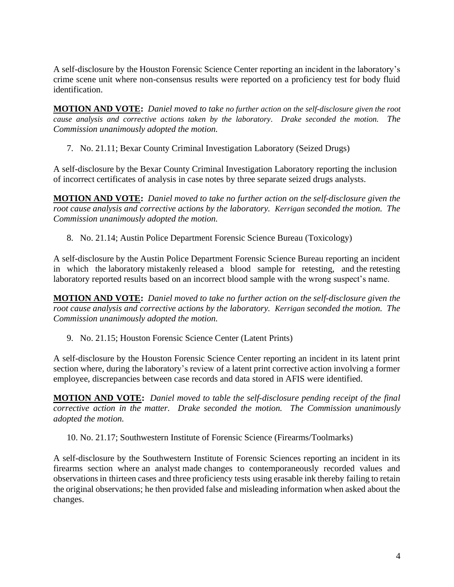A self-disclosure by the Houston Forensic Science Center reporting an incident in the laboratory's crime scene unit where non-consensus results were reported on a proficiency test for body fluid identification.

**MOTION AND VOTE:** *Daniel moved to take no further action on the self-disclosure given the root cause analysis and corrective actions taken by the laboratory. Drake seconded the motion. The Commission unanimously adopted the motion.*

7. No. 21.11; Bexar County Criminal Investigation Laboratory (Seized Drugs)

A self-disclosure by the Bexar County Criminal Investigation Laboratory reporting the inclusion of incorrect certificates of analysis in case notes by three separate seized drugs analysts.

**MOTION AND VOTE:** *Daniel moved to take no further action on the self-disclosure given the root cause analysis and corrective actions by the laboratory. Kerrigan seconded the motion. The Commission unanimously adopted the motion.*

8. No. 21.14; Austin Police Department Forensic Science Bureau (Toxicology)

A self-disclosure by the Austin Police Department Forensic Science Bureau reporting an incident in which the laboratory mistakenly released a blood sample for retesting, and the retesting laboratory reported results based on an incorrect blood sample with the wrong suspect's name.

**MOTION AND VOTE:** *Daniel moved to take no further action on the self-disclosure given the root cause analysis and corrective actions by the laboratory. Kerrigan seconded the motion. The Commission unanimously adopted the motion.*

9. No. 21.15; Houston Forensic Science Center (Latent Prints)

A self-disclosure by the Houston Forensic Science Center reporting an incident in its latent print section where, during the laboratory's review of a latent print corrective action involving a former employee, discrepancies between case records and data stored in AFIS were identified.

**MOTION AND VOTE:** *Daniel moved to table the self-disclosure pending receipt of the final corrective action in the matter. Drake seconded the motion. The Commission unanimously adopted the motion.*

10. No. 21.17; Southwestern Institute of Forensic Science (Firearms/Toolmarks)

A self-disclosure by the Southwestern Institute of Forensic Sciences reporting an incident in its firearms section where an analyst made changes to contemporaneously recorded values and observations in thirteen cases and three proficiency tests using erasable ink thereby failing to retain the original observations; he then provided false and misleading information when asked about the changes.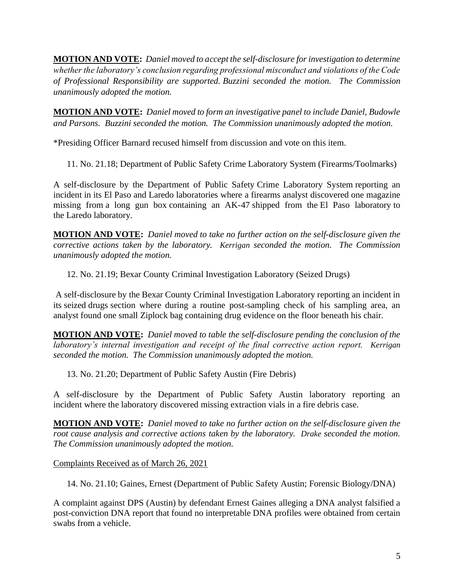**MOTION AND VOTE:** *Daniel moved to accept the self-disclosure for investigation to determine whether the laboratory's conclusion regarding professional misconduct and violations of the Code of Professional Responsibility are supported. Buzzini seconded the motion. The Commission unanimously adopted the motion.*

**MOTION AND VOTE:** *Daniel moved to form an investigative panel to include Daniel, Budowle and Parsons. Buzzini seconded the motion. The Commission unanimously adopted the motion.*

\*Presiding Officer Barnard recused himself from discussion and vote on this item.

11. No. 21.18; Department of Public Safety Crime Laboratory System (Firearms/Toolmarks)

A self-disclosure by the Department of Public Safety Crime Laboratory System reporting an incident in its El Paso and Laredo laboratories where a firearms analyst discovered one magazine missing from a long gun box containing an AK-47 shipped from the El Paso laboratory to the Laredo laboratory.

**MOTION AND VOTE:** *Daniel moved to take no further action on the self-disclosure given the corrective actions taken by the laboratory. Kerrigan seconded the motion. The Commission unanimously adopted the motion.*

12. No. 21.19; Bexar County Criminal Investigation Laboratory (Seized Drugs)

A self-disclosure by the Bexar County Criminal Investigation Laboratory reporting an incident in its seized drugs section where during a routine post-sampling check of his sampling area, an analyst found one small Ziplock bag containing drug evidence on the floor beneath his chair.

**MOTION AND VOTE:** *Daniel moved to table the self-disclosure pending the conclusion of the laboratory's internal investigation and receipt of the final corrective action report. Kerrigan seconded the motion. The Commission unanimously adopted the motion.*

13. No. 21.20; Department of Public Safety Austin (Fire Debris)

A self-disclosure by the Department of Public Safety Austin laboratory reporting an incident where the laboratory discovered missing extraction vials in a fire debris case.

**MOTION AND VOTE:** *Daniel moved to take no further action on the self-disclosure given the root cause analysis and corrective actions taken by the laboratory. Drake seconded the motion. The Commission unanimously adopted the motion.*

Complaints Received as of March 26, 2021

14. No. 21.10; Gaines, Ernest (Department of Public Safety Austin; Forensic Biology/DNA)

A complaint against DPS (Austin) by defendant Ernest Gaines alleging a DNA analyst falsified a post-conviction DNA report that found no interpretable DNA profiles were obtained from certain swabs from a vehicle.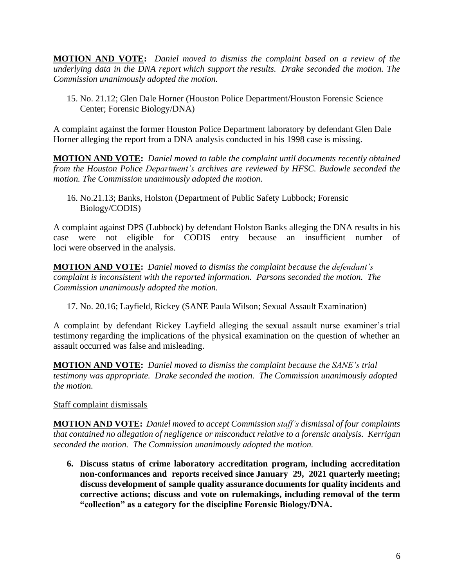**MOTION AND VOTE:** *Daniel moved to dismiss the complaint based on a review of the underlying data in the DNA report which support the results. Drake seconded the motion. The Commission unanimously adopted the motion.* 

15. No. 21.12; Glen Dale Horner (Houston Police Department/Houston Forensic Science Center; Forensic Biology/DNA)

A complaint against the former Houston Police Department laboratory by defendant Glen Dale Horner alleging the report from a DNA analysis conducted in his 1998 case is missing.

**MOTION AND VOTE:** *Daniel moved to table the complaint until documents recently obtained from the Houston Police Department's archives are reviewed by HFSC. Budowle seconded the motion. The Commission unanimously adopted the motion.* 

16. No.21.13; Banks, Holston (Department of Public Safety Lubbock; Forensic Biology/CODIS)

A complaint against DPS (Lubbock) by defendant Holston Banks alleging the DNA results in his case were not eligible for CODIS entry because an insufficient number of loci were observed in the analysis.

**MOTION AND VOTE:** *Daniel moved to dismiss the complaint because the defendant's complaint is inconsistent with the reported information. Parsons seconded the motion. The Commission unanimously adopted the motion.*

17. No. 20.16; Layfield, Rickey (SANE Paula Wilson; Sexual Assault Examination)

A complaint by defendant Rickey Layfield alleging the sexual assault nurse examiner's trial testimony regarding the implications of the physical examination on the question of whether an assault occurred was false and misleading.

**MOTION AND VOTE:** *Daniel moved to dismiss the complaint because the SANE's trial testimony was appropriate. Drake seconded the motion. The Commission unanimously adopted the motion.*

Staff complaint dismissals

**MOTION AND VOTE:** *Daniel moved to accept Commission staff's dismissal of four complaints that contained no allegation of negligence or misconduct relative to a forensic analysis. Kerrigan seconded the motion. The Commission unanimously adopted the motion.*

**6. Discuss status of crime laboratory accreditation program, including accreditation non-conformances and reports received since January 29, 2021 quarterly meeting; discuss development of sample quality assurance documents for quality incidents and corrective actions; discuss and vote on rulemakings, including removal of the term "collection" as a category for the discipline Forensic Biology/DNA.**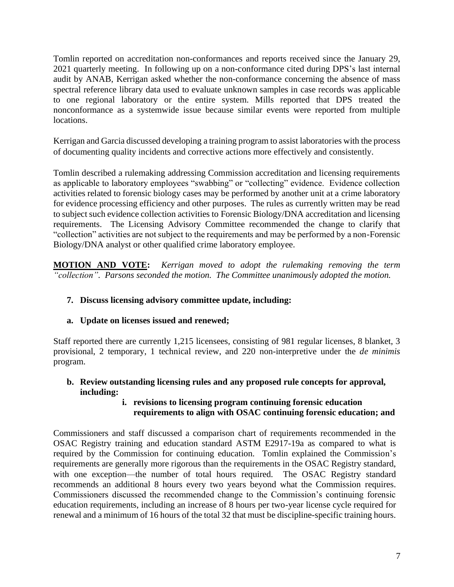Tomlin reported on accreditation non-conformances and reports received since the January 29, 2021 quarterly meeting. In following up on a non-conformance cited during DPS's last internal audit by ANAB, Kerrigan asked whether the non-conformance concerning the absence of mass spectral reference library data used to evaluate unknown samples in case records was applicable to one regional laboratory or the entire system. Mills reported that DPS treated the nonconformance as a systemwide issue because similar events were reported from multiple locations.

Kerrigan and Garcia discussed developing a training program to assist laboratories with the process of documenting quality incidents and corrective actions more effectively and consistently.

Tomlin described a rulemaking addressing Commission accreditation and licensing requirements as applicable to laboratory employees "swabbing" or "collecting" evidence. Evidence collection activities related to forensic biology cases may be performed by another unit at a crime laboratory for evidence processing efficiency and other purposes. The rules as currently written may be read to subject such evidence collection activities to Forensic Biology/DNA accreditation and licensing requirements. The Licensing Advisory Committee recommended the change to clarify that "collection" activities are not subject to the requirements and may be performed by a non-Forensic Biology/DNA analyst or other qualified crime laboratory employee.

**MOTION AND VOTE:** *Kerrigan moved to adopt the rulemaking removing the term "collection". Parsons seconded the motion. The Committee unanimously adopted the motion.*

## **7. Discuss licensing advisory committee update, including:**

## **a. Update on licenses issued and renewed;**

Staff reported there are currently 1,215 licensees, consisting of 981 regular licenses, 8 blanket, 3 provisional, 2 temporary, 1 technical review, and 220 non-interpretive under the *de minimis* program.

## **b. Review outstanding licensing rules and any proposed rule concepts for approval, including:**

## **i. revisions to licensing program continuing forensic education requirements to align with OSAC continuing forensic education; and**

Commissioners and staff discussed a comparison chart of requirements recommended in the OSAC Registry training and education standard ASTM E2917-19a as compared to what is required by the Commission for continuing education. Tomlin explained the Commission's requirements are generally more rigorous than the requirements in the OSAC Registry standard, with one exception—the number of total hours required. The OSAC Registry standard recommends an additional 8 hours every two years beyond what the Commission requires. Commissioners discussed the recommended change to the Commission's continuing forensic education requirements, including an increase of 8 hours per two-year license cycle required for renewal and a minimum of 16 hours of the total 32 that must be discipline-specific training hours.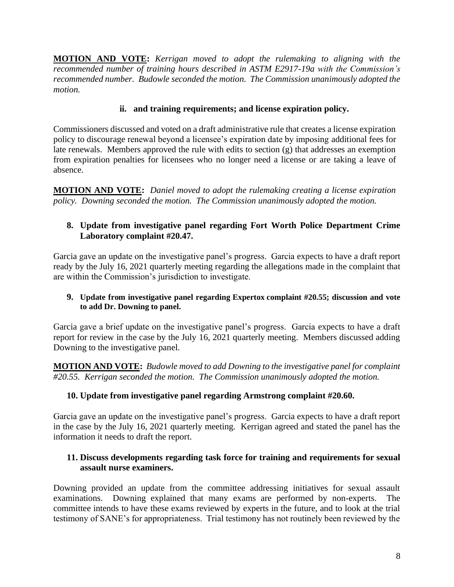**MOTION AND VOTE:** *Kerrigan moved to adopt the rulemaking to aligning with the recommended number of training hours described in ASTM E2917-19a with the Commission's recommended number. Budowle seconded the motion. The Commission unanimously adopted the motion.*

## **ii. and training requirements; and license expiration policy.**

Commissioners discussed and voted on a draft administrative rule that creates a license expiration policy to discourage renewal beyond a licensee's expiration date by imposing additional fees for late renewals. Members approved the rule with edits to section (g) that addresses an exemption from expiration penalties for licensees who no longer need a license or are taking a leave of absence.

**MOTION AND VOTE:** *Daniel moved to adopt the rulemaking creating a license expiration policy. Downing seconded the motion. The Commission unanimously adopted the motion.*

## **8. Update from investigative panel regarding Fort Worth Police Department Crime Laboratory complaint #20.47.**

Garcia gave an update on the investigative panel's progress. Garcia expects to have a draft report ready by the July 16, 2021 quarterly meeting regarding the allegations made in the complaint that are within the Commission's jurisdiction to investigate.

#### **9. Update from investigative panel regarding Expertox complaint #20.55; discussion and vote to add Dr. Downing to panel.**

Garcia gave a brief update on the investigative panel's progress. Garcia expects to have a draft report for review in the case by the July 16, 2021 quarterly meeting. Members discussed adding Downing to the investigative panel.

**MOTION AND VOTE:** *Budowle moved to add Downing to the investigative panel for complaint #20.55. Kerrigan seconded the motion. The Commission unanimously adopted the motion.*

## **10. Update from investigative panel regarding Armstrong complaint #20.60.**

Garcia gave an update on the investigative panel's progress. Garcia expects to have a draft report in the case by the July 16, 2021 quarterly meeting. Kerrigan agreed and stated the panel has the information it needs to draft the report.

## **11. Discuss developments regarding task force for training and requirements for sexual assault nurse examiners.**

Downing provided an update from the committee addressing initiatives for sexual assault examinations. Downing explained that many exams are performed by non-experts. The committee intends to have these exams reviewed by experts in the future, and to look at the trial testimony of SANE's for appropriateness. Trial testimony has not routinely been reviewed by the